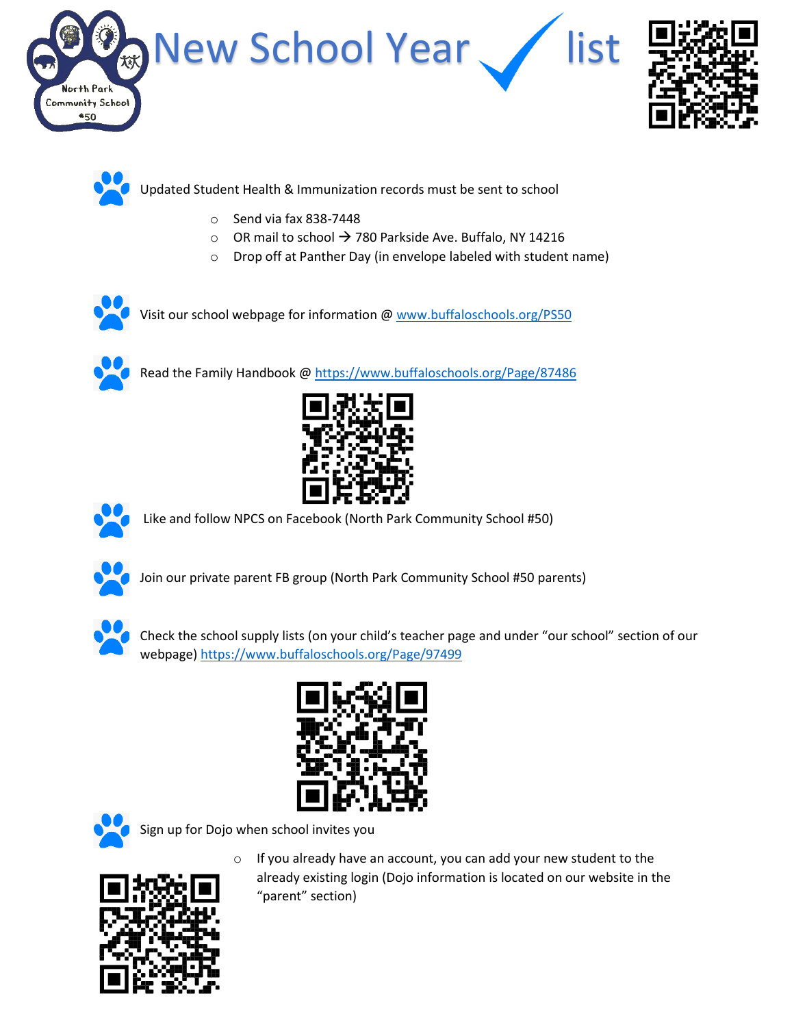





Updated Student Health & Immunization records must be sent to school

- o Send via fax 838-7448
- o OR mail to school  $→ 780$  Parkside Ave. Buffalo, NY 14216
- o Drop off at Panther Day (in envelope labeled with student name)





Read the Family Handbook @ <https://www.buffaloschools.org/Page/87486>





Like and follow NPCS on Facebook (North Park Community School #50)



Join our private parent FB group (North Park Community School #50 parents)



Check the school supply lists (on your child's teacher page and under "our school" section of our webpage[\) https://www.buffaloschools.org/Page/97499](https://www.buffaloschools.org/Page/97499)





Sign up for Dojo when school invites you



 $\circ$  If you already have an account, you can add your new student to the already existing login (Dojo information is located on our website in the "parent" section)